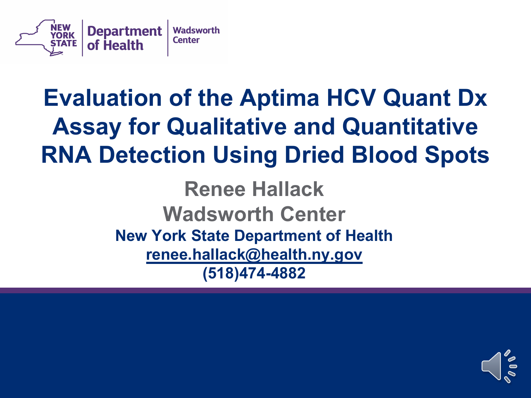

### **Evaluation of the Aptima HCV Quant Dx Assay for Qualitative and Quantitative RNA Detection Using Dried Blood Spots**

**Renee Hallack Wadsworth Center New York State Department of Health renee.hallack@health.ny.gov (518)474-4882** 

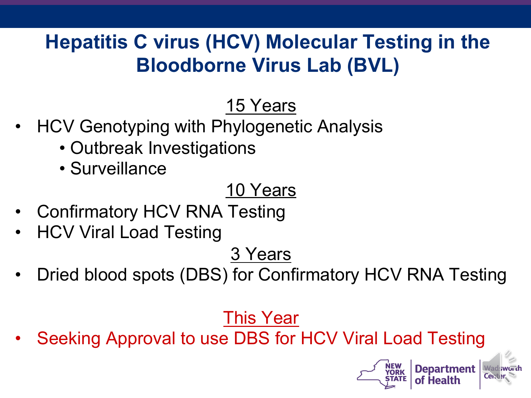#### **Hepatitis C virus (HCV) Molecular Testing in the Bloodborne Virus Lab (BVL)**

#### 15 Years

- HCV Genotyping with Phylogenetic Analysis
	- Outbreak Investigations
	- Surveillance

#### 10 Years

- Confirmatory HCV RNA Testing
- HCV Viral Load Testing

3 Years

• Dried blood spots (DBS) for Confirmatory HCV RNA Testing

This Year

Seeking Approval to use DBS for HCV Viral Load Testing

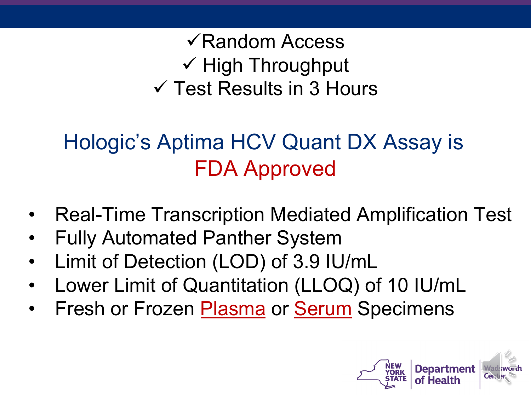$\sqrt{R}$ andom Access  $\checkmark$  High Throughput  $\checkmark$  Test Results in 3 Hours

#### Hologic's Aptima HCV Quant DX Assay is FDA Approved

- Real-Time Transcription Mediated Amplification Test
- Fully Automated Panther System
- Limit of Detection (LOD) of 3.9 IU/mL
- Lower Limit of Quantitation (LLOQ) of 10 IU/mL
- Fresh or Frozen Plasma or Serum Specimens

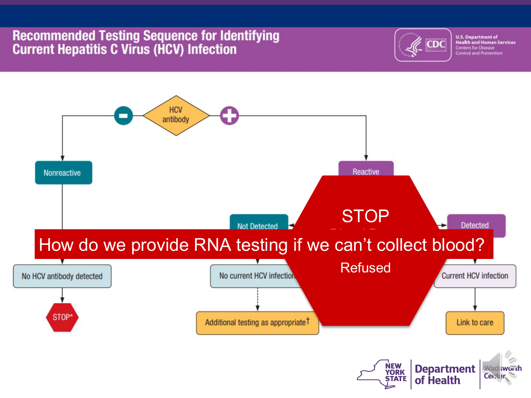#### **Recommended Testing Sequence for Identifying Current Hepatitis C Virus (HCV) Infection**



**U.S. Department of<br>Health and Human Services Centers for Disease Control and Prevention** 

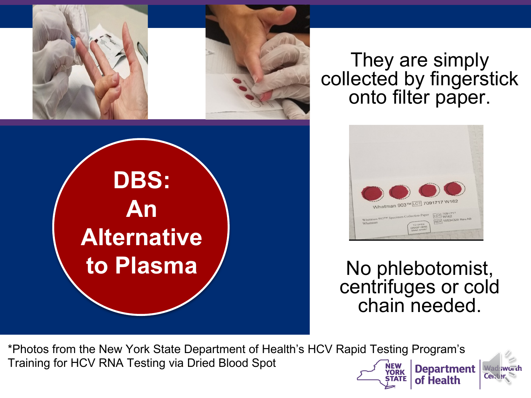

**DBS:**

**An** 

**Alternative**

**to Plasma**

They are simply collected by fingerstick onto filter paper.



No phlebotomist, centrifuges or cold chain needed.

of Health

\*Photos from the New York State Department of Health's HCV Rapid Testing Program's Training for HCV RNA Testing via Dried Blood Spot **Department YORK** 

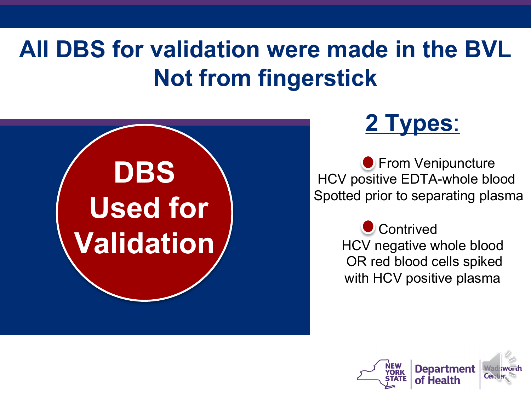### **All DBS for validation were made in the BVL Not from fingerstick**



#### **2 Types**:

**• From Venipuncture** HCV positive EDTA-whole blood Spotted prior to separating plasma

> **Contrived** HCV negative whole blood OR red blood cells spiked with HCV positive plasma

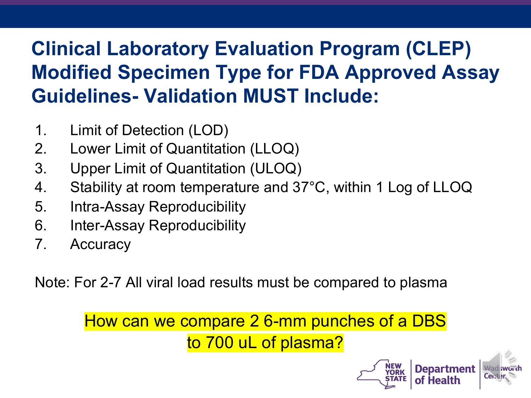#### **Clinical Laboratory Evaluation Program (CLEP) Modified Specimen Type for FDA Approved Assay Guidelines- Validation MUST Include:**

- 1. Limit of Detection (LOD)
- 2. Lower Limit of Quantitation (LLOQ)
- 3. Upper Limit of Quantitation (ULOQ)
- 4. Stability at room temperature and 37°C, within 1 Log of LLOQ
- 5. Intra-Assay Reproducibility
- 6. Inter-Assay Reproducibility
- 7. Accuracy

Note: For 2-7 All viral load results must be compared to plasma

How can we compare 2 6-mm punches of a DBS to 700 uL of plasma?

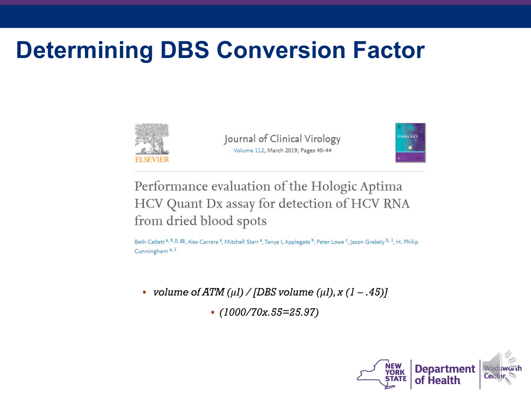### **Determining DBS Conversion Factor**



Journal of Clinical Virology Volume 112, March 2019, Pages 40-44



Performance evaluation of the Hologic Aptima HCV Quant Dx assay for detection of HCV RNA from dried blood spots

Beth Catlett<sup>a, b</sup> &  $\boxtimes$ , Alex Carrera<sup>a</sup>, Mitchell Starr<sup>a</sup>, Tanya L Applegate <sup>b</sup>, Peter Lowe<sup>c</sup>, Jason Grebely <sup>b, 1</sup>, H. Philip Cunningham<sup>a, 1</sup>

- volume of ATM ( $\mu$ I) / [DBS volume ( $\mu$ I), x (1 .45)]
	- $(1000/70x.55=25.97)$

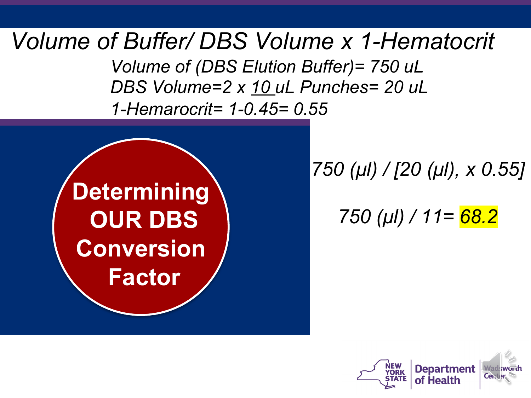*Volume of Buffer/ DBS Volume x 1-Hematocrit*

*Volume of (DBS Elution Buffer)= 750 uL DBS Volume=2 x 10 uL Punches= 20 uL 1-Hemarocrit= 1-0.45= 0.55*



*750 (μl) / [20 (μl), x 0.55]*

*750 (μl) / 11= 68.2*

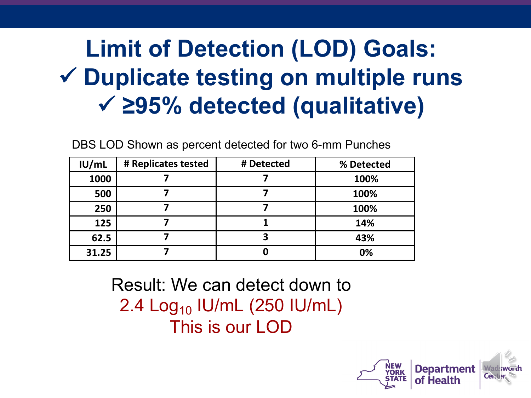# **Limit of Detection (LOD) Goals:** ü **Duplicate testing on multiple runs** ü **≥95% detected (qualitative)**

**IU/mL # Replicates tested # Detected % Detected 1000 7 7 100% 500 7 7 100% 250 7 7 100% 125 7 1 14% 62.5 7 3 43% 31.25 7 0 0%**

DBS LOD Shown as percent detected for two 6-mm Punches

Result: We can detect down to 2.4  $Log_{10}$  IU/mL (250 IU/mL) This is our LOD

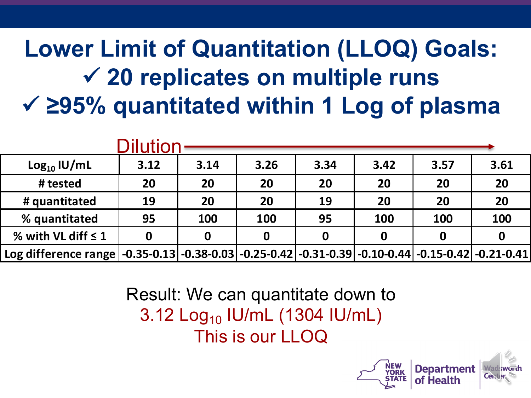# **Lower Limit of Quantitation (LLOQ) Goals:** ü **20 replicates on multiple runs** ü **≥95% quantitated within 1 Log of plasma**

| Dilution                |                                                                                                                                      |      |      |      |      |      |      |
|-------------------------|--------------------------------------------------------------------------------------------------------------------------------------|------|------|------|------|------|------|
| $Log_{10}$ IU/mL        | 3.12                                                                                                                                 | 3.14 | 3.26 | 3.34 | 3.42 | 3.57 | 3.61 |
| # tested                | 20                                                                                                                                   | 20   | 20   | 20   | 20   | 20   | 20   |
| # quantitated           | 19                                                                                                                                   | 20   | 20   | 19   | 20   | 20   | 20   |
| % quantitated           | 95                                                                                                                                   | 100  | 100  | 95   | 100  | 100  | 100  |
| % with VL diff $\leq 1$ | 0                                                                                                                                    | 0    | 0    | 0    | 0    | 0    |      |
| Log difference range    | $\vert$ -0.35-0.13 $\vert$ -0.38-0.03 $\vert$ -0.25-0.42 $\vert$ -0.31-0.39 $\vert$ -0.10-0.44 $\vert$ -0.15-0.42 $\vert$ -0.21-0.41 |      |      |      |      |      |      |

Result: We can quantitate down to 3.12 Log10 IU/mL (1304 IU/mL) This is our LLOQ

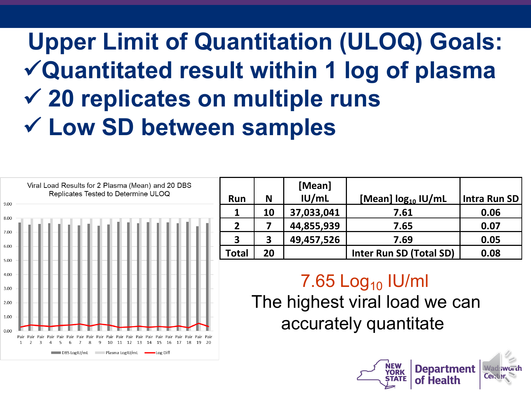# **Upper Limit of Quantitation (ULOQ) Goals:**  ü**Quantitated result within 1 log of plasma** ü **20 replicates on multiple runs** ü **Low SD between samples**



|       |    | [Mean]     |                         |              |
|-------|----|------------|-------------------------|--------------|
| Run   | N  | IU/mL      | [Mean] $log_{10}$ IU/mL | Intra Run SD |
|       | 10 | 37,033,041 | 7.61                    | 0.06         |
| 2     |    | 44,855,939 | 7.65                    | 0.07         |
| з     | 3  | 49,457,526 | 7.69                    | 0.05         |
| Total | 20 |            | Inter Run SD (Total SD) | 0.08         |

#### $7.65$  Log<sub>10</sub> IU/ml

The highest viral load we can accurately quantitate

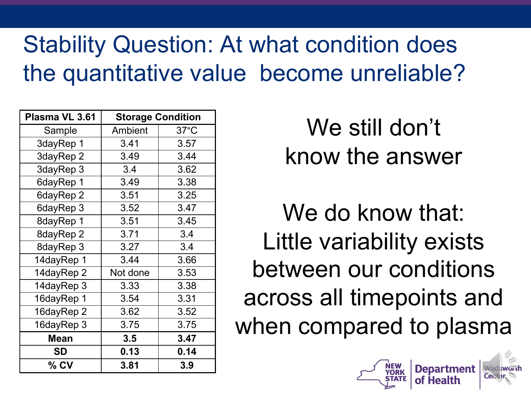### Stability Question: At what condition does the quantitative value become unreliable?

| Plasma VL 3.61 | <b>Storage Condition</b> |                |  |
|----------------|--------------------------|----------------|--|
| Sample         | Ambient                  | $37^{\circ}$ C |  |
| 3dayRep 1      | 3.41                     | 3.57           |  |
| 3dayRep 2      | 3.49                     | 3.44           |  |
| 3dayRep 3      | 3.4                      | 3.62           |  |
| 6dayRep 1      | 3.49                     | 3.38           |  |
| 6dayRep 2      | 3.51                     | 3.25           |  |
| 6dayRep 3      | 3.52                     | 3.47           |  |
| 8dayRep 1      | 3.51                     | 3.45           |  |
| 8dayRep 2      | 3.71                     | 3.4            |  |
| 8dayRep 3      | 3.27                     | 3.4            |  |
| 14dayRep 1     | 3.44                     | 3.66           |  |
| 14dayRep 2     | Not done                 | 3.53           |  |
| 14dayRep 3     | 3.33                     | 3.38           |  |
| 16dayRep 1     | 3.54                     | 3.31           |  |
| 16dayRep 2     | 3.62                     | 3.52           |  |
| 16dayRep 3     | 3.75                     | 3.75           |  |
| <b>Mean</b>    | 3.5                      | 3.47           |  |
| SD             | 0.13                     | 0.14           |  |
| % CV           | 3.81                     | 3.9            |  |

We still don't know the answer

We do know that: Little variability exists between our conditions across all timepoints and when compared to plasma

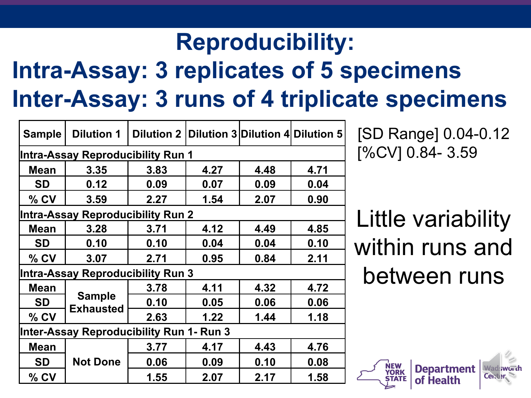### **Reproducibility:**

# **Intra-Assay: 3 replicates of 5 specimens Inter-Assay: 3 runs of 4 triplicate specimens**

|                                          | <b>Dilution 1</b>                        |      |                                                   |      |      |  |  |
|------------------------------------------|------------------------------------------|------|---------------------------------------------------|------|------|--|--|
| <b>Sample</b>                            |                                          |      | Dilution 2   Dilution 3   Dilution 4   Dilution 5 |      |      |  |  |
| <b>Intra-Assay Reproducibility Run 1</b> |                                          |      |                                                   |      |      |  |  |
| <b>Mean</b>                              | 3.35                                     | 3.83 | 4.27                                              | 4.48 | 4.71 |  |  |
| SD                                       | 0.12                                     | 0.09 | 0.07                                              | 0.09 | 0.04 |  |  |
| $%$ CV                                   | 3.59                                     | 2.27 | 1.54                                              | 2.07 | 0.90 |  |  |
|                                          | <b>Intra-Assay Reproducibility Run 2</b> |      |                                                   |      |      |  |  |
| <b>Mean</b>                              | 3.28                                     | 3.71 | 4.12                                              | 4.49 | 4.85 |  |  |
| SD                                       | 0.10                                     | 0.10 | 0.04                                              | 0.04 | 0.10 |  |  |
| $%$ CV                                   | 3.07                                     | 2.71 | 0.95                                              | 0.84 | 2.11 |  |  |
| <b>Intra-Assay Reproducibility Run 3</b> |                                          |      |                                                   |      |      |  |  |
| Mean                                     | <b>Sample</b><br><b>Exhausted</b>        | 3.78 | 4.11                                              | 4.32 | 4.72 |  |  |
| SD                                       |                                          | 0.10 | 0.05                                              | 0.06 | 0.06 |  |  |
| $%$ CV                                   |                                          | 2.63 | 1.22                                              | 1.44 | 1.18 |  |  |
| Inter-Assay Reproducibility Run 1- Run 3 |                                          |      |                                                   |      |      |  |  |
| Mean                                     |                                          | 3.77 | 4.17                                              | 4.43 | 4.76 |  |  |
| SD                                       | <b>Not Done</b>                          | 0.06 | 0.09                                              | 0.10 | 0.08 |  |  |
| $%$ CV                                   |                                          | 1.55 | 2.07                                              | 2.17 | 1.58 |  |  |

[SD Range] 0.04-0.12 [%CV] 0.84- 3.59

Little variability within runs and between runs

**Department**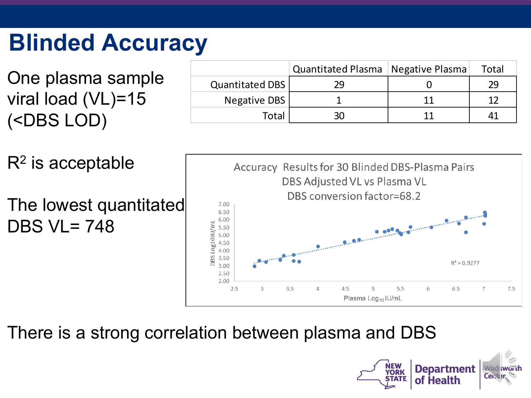# **Blinded Accuracy**

One plasma sample viral load (VL)=15 (<DBS LOD)

|                 | Quantitated Plasma   Negative Plasma |    | Total |
|-----------------|--------------------------------------|----|-------|
| Quantitated DBS | 29                                   |    | 29    |
| Negative DBS    |                                      | 11 |       |
| Total           | 30                                   |    |       |

 $R<sup>2</sup>$  is acceptable The lowest quantitated DBS VL= 748



There is a strong correlation between plasma and DBS

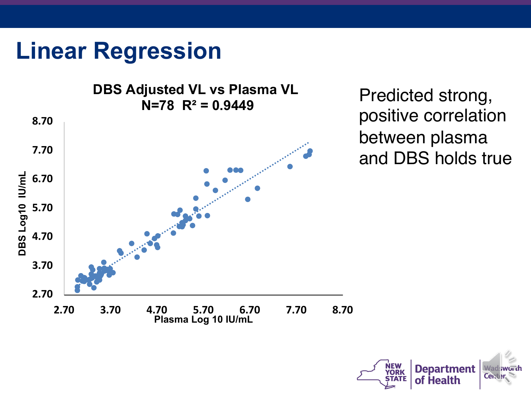#### **Linear Regression**

**DBS Adjusted VL vs Plasma VL N=78 R² = 0.9449** Predicted strong, **8.70 7.70 DBS Log10 IU/mL** DBS Log10 IU/mL **6.70 5.70 4.70 3.70 2.70 2.70 3.70 4.70 5.70 6.70 7.70 8.70 Plasma Log 10 IU/mL**

positive correlation between plasma and DBS holds true

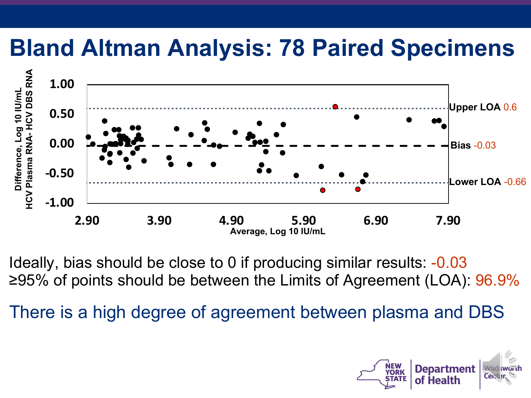#### **Bland Altman Analysis: 78 Paired Specimens**



Ideally, bias should be close to 0 if producing similar results: -0.03 ≥95% of points should be between the Limits of Agreement (LOA): 96.9%

There is a high degree of agreement between plasma and DBS

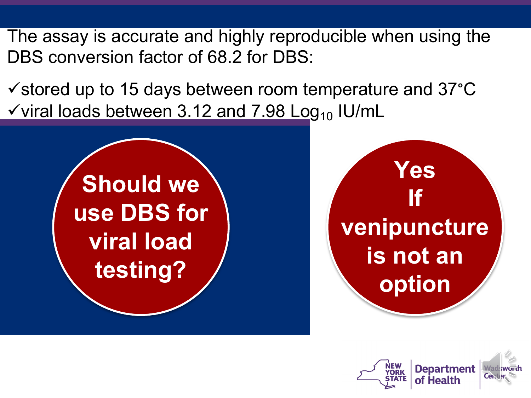The assay is accurate and highly reproducible when using the DBS conversion factor of 68.2 for DBS:

 $\checkmark$  stored up to 15 days between room temperature and 37 $\degree$ C  $\checkmark$  viral loads between 3.12 and 7.98 Log<sub>10</sub> IU/mL